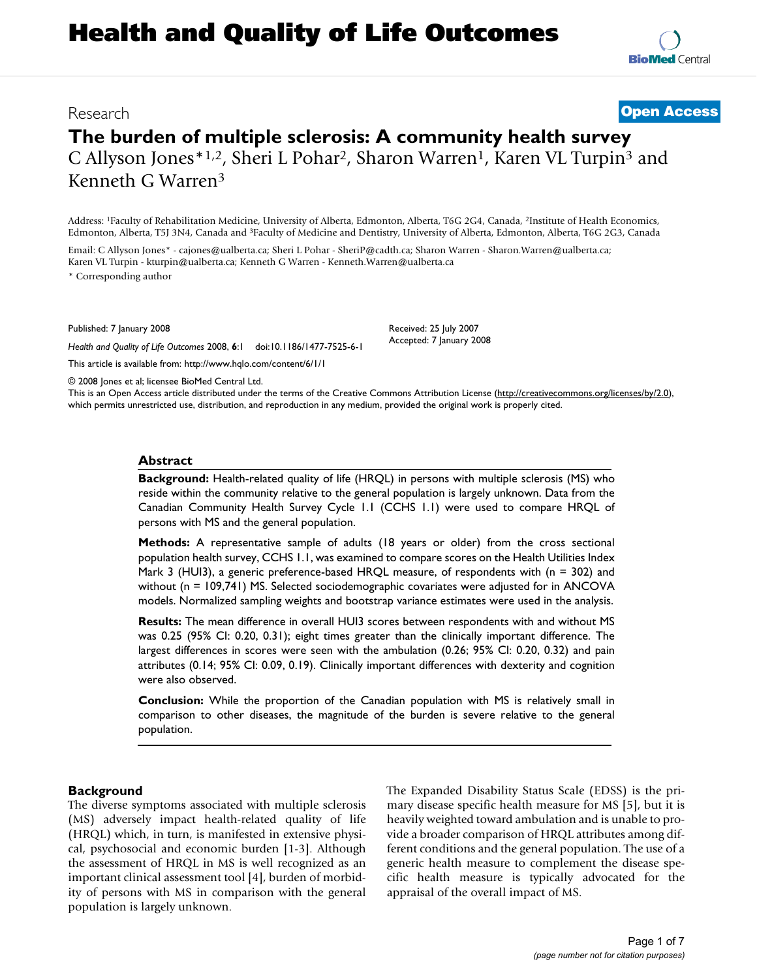# **Health and Quality of Life Outcomes**

# **The burden of multiple sclerosis: A community health survey** C Allyson Jones\*1,2, Sheri L Pohar<sup>2</sup>, Sharon Warren<sup>1</sup>, Karen VL Turpin<sup>3</sup> and Kenneth G Warren3

Address: 1Faculty of Rehabilitation Medicine, University of Alberta, Edmonton, Alberta, T6G 2G4, Canada, 2Institute of Health Economics, Edmonton, Alberta, T5J 3N4, Canada and 3Faculty of Medicine and Dentistry, University of Alberta, Edmonton, Alberta, T6G 2G3, Canada

Email: C Allyson Jones\* - cajones@ualberta.ca; Sheri L Pohar - SheriP@cadth.ca; Sharon Warren - Sharon.Warren@ualberta.ca; Karen VL Turpin - kturpin@ualberta.ca; Kenneth G Warren - Kenneth.Warren@ualberta.ca \* Corresponding author

Published: 7 January 2008

*Health and Quality of Life Outcomes* 2008, **6**:1 doi:10.1186/1477-7525-6-1

[This article is available from: http://www.hqlo.com/content/6/1/1](http://www.hqlo.com/content/6/1/1)

© 2008 Jones et al; licensee BioMed Central Ltd.

This is an Open Access article distributed under the terms of the Creative Commons Attribution License [\(http://creativecommons.org/licenses/by/2.0\)](http://creativecommons.org/licenses/by/2.0), which permits unrestricted use, distribution, and reproduction in any medium, provided the original work is properly cited.

#### **Abstract**

**Background:** Health-related quality of life (HRQL) in persons with multiple sclerosis (MS) who reside within the community relative to the general population is largely unknown. Data from the Canadian Community Health Survey Cycle 1.1 (CCHS 1.1) were used to compare HRQL of persons with MS and the general population.

**Methods:** A representative sample of adults (18 years or older) from the cross sectional population health survey, CCHS 1.1, was examined to compare scores on the Health Utilities Index Mark 3 (HUI3), a generic preference-based HRQL measure, of respondents with (n = 302) and without (n = 109,741) MS. Selected sociodemographic covariates were adjusted for in ANCOVA models. Normalized sampling weights and bootstrap variance estimates were used in the analysis.

**Results:** The mean difference in overall HUI3 scores between respondents with and without MS was 0.25 (95% CI: 0.20, 0.31); eight times greater than the clinically important difference. The largest differences in scores were seen with the ambulation (0.26; 95% CI: 0.20, 0.32) and pain attributes (0.14; 95% CI: 0.09, 0.19). Clinically important differences with dexterity and cognition were also observed.

**Conclusion:** While the proportion of the Canadian population with MS is relatively small in comparison to other diseases, the magnitude of the burden is severe relative to the general population.

#### **Background**

The diverse symptoms associated with multiple sclerosis (MS) adversely impact health-related quality of life (HRQL) which, in turn, is manifested in extensive physical, psychosocial and economic burden [1[-3\]](#page-5-0). Although the assessment of HRQL in MS is well recognized as an important clinical assessment tool [4], burden of morbidity of persons with MS in comparison with the general population is largely unknown.

The Expanded Disability Status Scale (EDSS) is the primary disease specific health measure for MS [5], but it is heavily weighted toward ambulation and is unable to provide a broader comparison of HRQL attributes among different conditions and the general population. The use of a generic health measure to complement the disease specific health measure is typically advocated for the appraisal of the overall impact of MS.



# Research **[Open Access](http://www.biomedcentral.com/info/about/charter/)**

Received: 25 July 2007 Accepted: 7 January 2008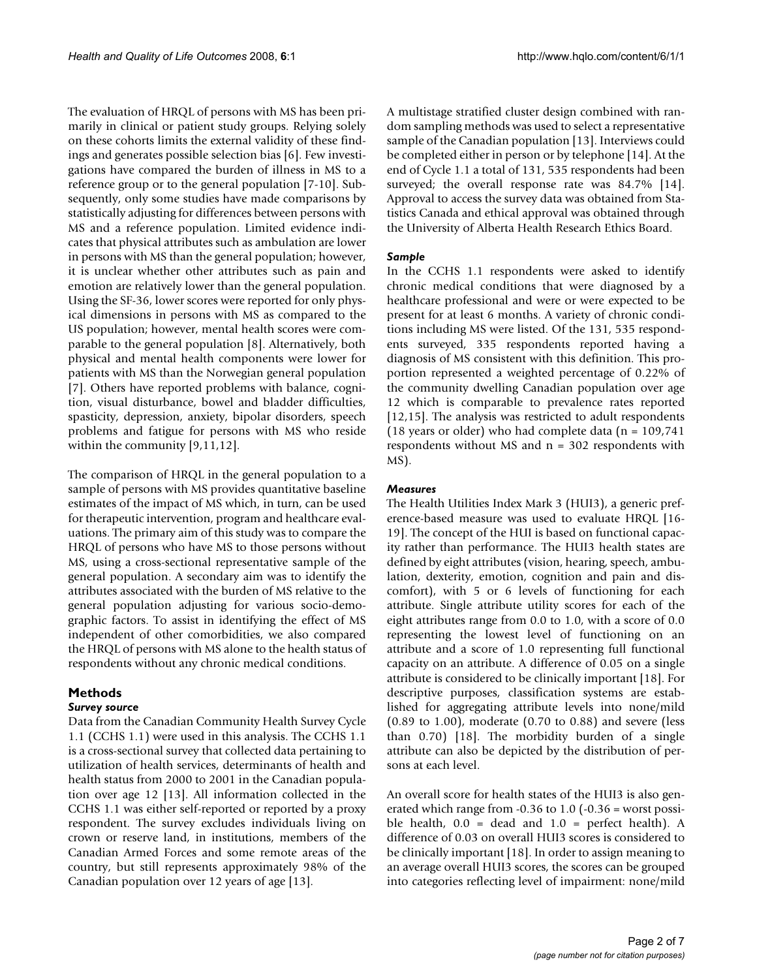The evaluation of HRQL of persons with MS has been primarily in clinical or patient study groups. Relying solely on these cohorts limits the external validity of these findings and generates possible selection bias [[6](#page-5-1)]. Few investigations have compared the burden of illness in MS to a reference group or to the general population [7-10]. Subsequently, only some studies have made comparisons by statistically adjusting for differences between persons with MS and a reference population. Limited evidence indicates that physical attributes such as ambulation are lower in persons with MS than the general population; however, it is unclear whether other attributes such as pain and emotion are relatively lower than the general population. Using the SF-36, lower scores were reported for only physical dimensions in persons with MS as compared to the US population; however, mental health scores were comparable to the general population [8]. Alternatively, both physical and mental health components were lower for patients with MS than the Norwegian general population [7]. Others have reported problems with balance, cognition, visual disturbance, bowel and bladder difficulties, spasticity, depression, anxiety, bipolar disorders, speech problems and fatigue for persons with MS who reside within the community [9,11,12].

The comparison of HRQL in the general population to a sample of persons with MS provides quantitative baseline estimates of the impact of MS which, in turn, can be used for therapeutic intervention, program and healthcare evaluations. The primary aim of this study was to compare the HRQL of persons who have MS to those persons without MS, using a cross-sectional representative sample of the general population. A secondary aim was to identify the attributes associated with the burden of MS relative to the general population adjusting for various socio-demographic factors. To assist in identifying the effect of MS independent of other comorbidities, we also compared the HRQL of persons with MS alone to the health status of respondents without any chronic medical conditions.

# **Methods**

## *Survey source*

Data from the Canadian Community Health Survey Cycle 1.1 (CCHS 1.1) were used in this analysis. The CCHS 1.1 is a cross-sectional survey that collected data pertaining to utilization of health services, determinants of health and health status from 2000 to 2001 in the Canadian population over age 12 [13]. All information collected in the CCHS 1.1 was either self-reported or reported by a proxy respondent. The survey excludes individuals living on crown or reserve land, in institutions, members of the Canadian Armed Forces and some remote areas of the country, but still represents approximately 98% of the Canadian population over 12 years of age [13].

A multistage stratified cluster design combined with random sampling methods was used to select a representative sample of the Canadian population [13]. Interviews could be completed either in person or by telephone [14]. At the end of Cycle 1.1 a total of 131, 535 respondents had been surveyed; the overall response rate was 84.7% [14]. Approval to access the survey data was obtained from Statistics Canada and ethical approval was obtained through the University of Alberta Health Research Ethics Board.

# *Sample*

In the CCHS 1.1 respondents were asked to identify chronic medical conditions that were diagnosed by a healthcare professional and were or were expected to be present for at least 6 months. A variety of chronic conditions including MS were listed. Of the 131, 535 respondents surveyed, 335 respondents reported having a diagnosis of MS consistent with this definition. This proportion represented a weighted percentage of 0.22% of the community dwelling Canadian population over age 12 which is comparable to prevalence rates reported [12,15]. The analysis was restricted to adult respondents (18 years or older) who had complete data ( $n = 109,741$ ) respondents without MS and n = 302 respondents with MS).

# *Measures*

The Health Utilities Index Mark 3 (HUI3), a generic preference-based measure was used to evaluate HRQL [16- 19]. The concept of the HUI is based on functional capacity rather than performance. The HUI3 health states are defined by eight attributes (vision, hearing, speech, ambulation, dexterity, emotion, cognition and pain and discomfort), with 5 or 6 levels of functioning for each attribute. Single attribute utility scores for each of the eight attributes range from 0.0 to 1.0, with a score of 0.0 representing the lowest level of functioning on an attribute and a score of 1.0 representing full functional capacity on an attribute. A difference of 0.05 on a single attribute is considered to be clinically important [18]. For descriptive purposes, classification systems are established for aggregating attribute levels into none/mild (0.89 to 1.00), moderate (0.70 to 0.88) and severe (less than 0.70) [18]. The morbidity burden of a single attribute can also be depicted by the distribution of persons at each level.

An overall score for health states of the HUI3 is also generated which range from -0.36 to 1.0 (-0.36 = worst possible health,  $0.0 =$  dead and  $1.0 =$  perfect health). A difference of 0.03 on overall HUI3 scores is considered to be clinically important [18]. In order to assign meaning to an average overall HUI3 scores, the scores can be grouped into categories reflecting level of impairment: none/mild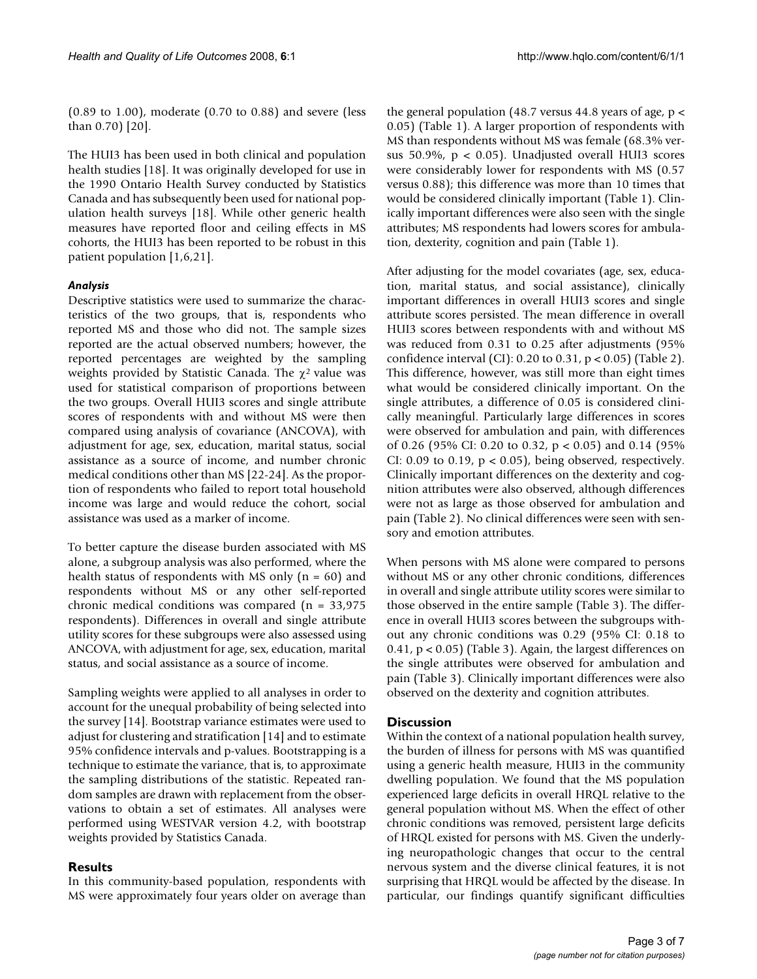(0.89 to 1.00), moderate (0.70 to 0.88) and severe (less than 0.70) [20].

The HUI3 has been used in both clinical and population health studies [18]. It was originally developed for use in the 1990 Ontario Health Survey conducted by Statistics Canada and has subsequently been used for national population health surveys [18]. While other generic health measures have reported floor and ceiling effects in MS cohorts, the HUI3 has been reported to be robust in this patient population [1[,6,](#page-5-1)21].

# *Analysis*

Descriptive statistics were used to summarize the characteristics of the two groups, that is, respondents who reported MS and those who did not. The sample sizes reported are the actual observed numbers; however, the reported percentages are weighted by the sampling weights provided by Statistic Canada. The  $\chi^2$  value was used for statistical comparison of proportions between the two groups. Overall HUI3 scores and single attribute scores of respondents with and without MS were then compared using analysis of covariance (ANCOVA), with adjustment for age, sex, education, marital status, social assistance as a source of income, and number chronic medical conditions other than MS [22-24]. As the proportion of respondents who failed to report total household income was large and would reduce the cohort, social assistance was used as a marker of income.

To better capture the disease burden associated with MS alone, a subgroup analysis was also performed, where the health status of respondents with MS only  $(n = 60)$  and respondents without MS or any other self-reported chronic medical conditions was compared  $(n = 33,975)$ respondents). Differences in overall and single attribute utility scores for these subgroups were also assessed using ANCOVA, with adjustment for age, sex, education, marital status, and social assistance as a source of income.

Sampling weights were applied to all analyses in order to account for the unequal probability of being selected into the survey [14]. Bootstrap variance estimates were used to adjust for clustering and stratification [14] and to estimate 95% confidence intervals and p-values. Bootstrapping is a technique to estimate the variance, that is, to approximate the sampling distributions of the statistic. Repeated random samples are drawn with replacement from the observations to obtain a set of estimates. All analyses were performed using WESTVAR version 4.2, with bootstrap weights provided by Statistics Canada.

# **Results**

In this community-based population, respondents with MS were approximately four years older on average than

the general population (48.7 versus 44.8 years of age,  $p <$ 0.05) (Table 1). A larger proportion of respondents with MS than respondents without MS was female (68.3% versus 50.9%, p < 0.05). Unadjusted overall HUI3 scores were considerably lower for respondents with MS (0.57 versus 0.88); this difference was more than 10 times that would be considered clinically important (Table 1). Clinically important differences were also seen with the single attributes; MS respondents had lowers scores for ambulation, dexterity, cognition and pain (Table 1).

After adjusting for the model covariates (age, sex, education, marital status, and social assistance), clinically important differences in overall HUI3 scores and single attribute scores persisted. The mean difference in overall HUI3 scores between respondents with and without MS was reduced from 0.31 to 0.25 after adjustments (95% confidence interval (CI): 0.20 to 0.31, p < 0.05) (Table 2). This difference, however, was still more than eight times what would be considered clinically important. On the single attributes, a difference of 0.05 is considered clinically meaningful. Particularly large differences in scores were observed for ambulation and pain, with differences of 0.26 (95% CI: 0.20 to 0.32, p < 0.05) and 0.14 (95% CI: 0.09 to 0.19,  $p < 0.05$ ), being observed, respectively. Clinically important differences on the dexterity and cognition attributes were also observed, although differences were not as large as those observed for ambulation and pain (Table 2). No clinical differences were seen with sensory and emotion attributes.

When persons with MS alone were compared to persons without MS or any other chronic conditions, differences in overall and single attribute utility scores were similar to those observed in the entire sample (Table 3). The difference in overall HUI3 scores between the subgroups without any chronic conditions was 0.29 (95% CI: 0.18 to 0.41, p < 0.05) (Table 3). Again, the largest differences on the single attributes were observed for ambulation and pain (Table 3). Clinically important differences were also observed on the dexterity and cognition attributes.

# **Discussion**

Within the context of a national population health survey, the burden of illness for persons with MS was quantified using a generic health measure, HUI3 in the community dwelling population. We found that the MS population experienced large deficits in overall HRQL relative to the general population without MS. When the effect of other chronic conditions was removed, persistent large deficits of HRQL existed for persons with MS. Given the underlying neuropathologic changes that occur to the central nervous system and the diverse clinical features, it is not surprising that HRQL would be affected by the disease. In particular, our findings quantify significant difficulties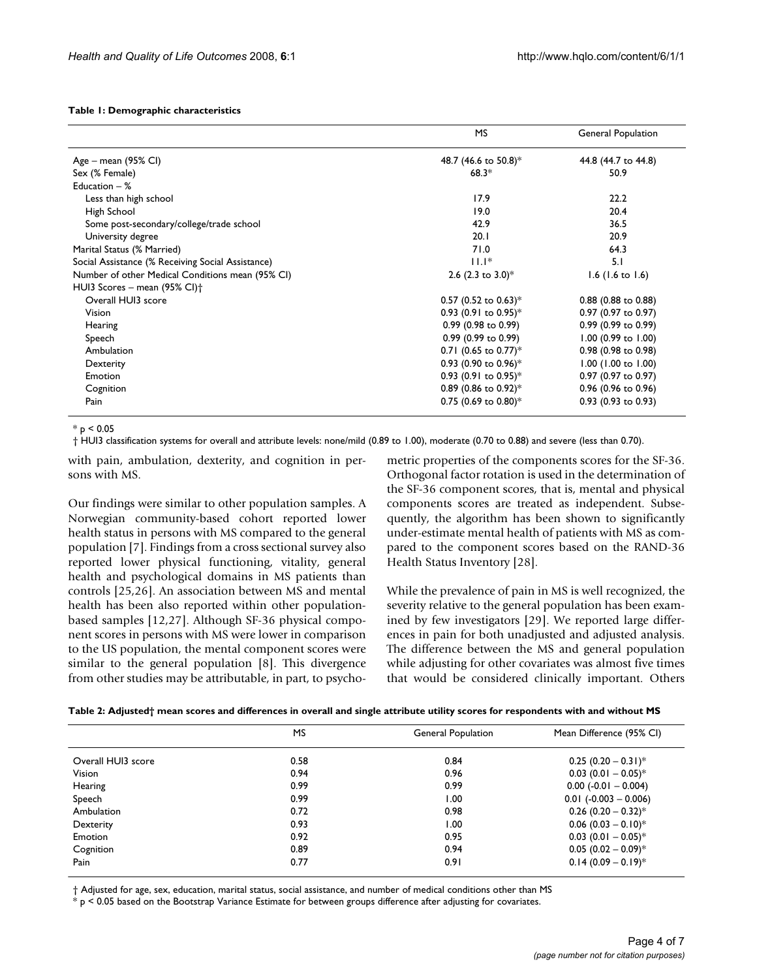#### **Table 1: Demographic characteristics**

|                                                   | <b>MS</b>                     | <b>General Population</b> |
|---------------------------------------------------|-------------------------------|---------------------------|
| $Age - mean (95% CI)$                             | 48.7 (46.6 to 50.8)*          | 44.8 (44.7 to 44.8)       |
| Sex (% Female)                                    | $68.3*$                       | 50.9                      |
| Education $-$ %                                   |                               |                           |
| Less than high school                             | 17.9                          | 22.2                      |
| High School                                       | 19.0                          | 20.4                      |
| Some post-secondary/college/trade school          | 42.9                          | 36.5                      |
| University degree                                 | 20.1                          | 20.9                      |
| Marital Status (% Married)                        | 71.0                          | 64.3                      |
| Social Assistance (% Receiving Social Assistance) | $11.1*$                       | 5.1                       |
| Number of other Medical Conditions mean (95% CI)  | 2.6 $(2.3 \text{ to } 3.0)^*$ | $1.6$ (1.6 to 1.6)        |
| HUI3 Scores – mean $(95\%$ CI) <sup>+</sup>       |                               |                           |
| Overall HUI3 score                                | $0.57$ (0.52 to 0.63)*        | $0.88$ (0.88 to 0.88)     |
| Vision                                            | $0.93$ (0.91 to 0.95)*        | 0.97 (0.97 to 0.97)       |
| Hearing                                           | $0.99$ (0.98 to 0.99)         | $0.99$ (0.99 to 0.99)     |
| Speech                                            | $0.99$ (0.99 to 0.99)         | $1.00$ (0.99 to 1.00)     |
| Ambulation                                        | 0.71 (0.65 to 0.77)*          | 0.98 (0.98 to 0.98)       |
| Dexterity                                         | 0.93 (0.90 to 0.96)*          | 1.00 (1.00 to 1.00)       |
| Emotion                                           | $0.93$ (0.91 to 0.95)*        | 0.97 (0.97 to 0.97)       |
| Cognition                                         | $0.89$ (0.86 to 0.92)*        | 0.96 (0.96 to 0.96)       |
| Pain                                              | $0.75$ (0.69 to 0.80)*        | $0.93$ (0.93 to 0.93)     |

#### $*_{p}$  < 0.05

† HUI3 classification systems for overall and attribute levels: none/mild (0.89 to 1.00), moderate (0.70 to 0.88) and severe (less than 0.70).

with pain, ambulation, dexterity, and cognition in persons with MS.

Our findings were similar to other population samples. A Norwegian community-based cohort reported lower health status in persons with MS compared to the general population [7]. Findings from a cross sectional survey also reported lower physical functioning, vitality, general health and psychological domains in MS patients than controls [25,26]. An association between MS and mental health has been also reported within other populationbased samples [12,27]. Although SF-36 physical component scores in persons with MS were lower in comparison to the US population, the mental component scores were similar to the general population [8]. This divergence from other studies may be attributable, in part, to psychometric properties of the components scores for the SF-36. Orthogonal factor rotation is used in the determination of the SF-36 component scores, that is, mental and physical components scores are treated as independent. Subsequently, the algorithm has been shown to significantly under-estimate mental health of patients with MS as compared to the component scores based on the RAND-36 Health Status Inventory [28].

While the prevalence of pain in MS is well recognized, the severity relative to the general population has been examined by few investigators [29]. We reported large differences in pain for both unadjusted and adjusted analysis. The difference between the MS and general population while adjusting for other covariates was almost five times that would be considered clinically important. Others

|                    | MS   | <b>General Population</b> | Mean Difference (95% CI)          |
|--------------------|------|---------------------------|-----------------------------------|
| Overall HUI3 score | 0.58 | 0.84                      | $0.25$ (0.20 - 0.31) <sup>*</sup> |
| Vision             | 0.94 | 0.96                      | $0.03$ (0.01 - 0.05) <sup>*</sup> |
| Hearing            | 0.99 | 0.99                      | $0.00 (-0.01 - 0.004)$            |
| Speech             | 0.99 | 1.00                      | $0.01$ (-0.003 - 0.006)           |
| Ambulation         | 0.72 | 0.98                      | $0.26$ (0.20 - 0.32) <sup>*</sup> |
| Dexterity          | 0.93 | 1.00                      | $0.06$ (0.03 - 0.10) <sup>*</sup> |
| Emotion            | 0.92 | 0.95                      | $0.03$ (0.01 - 0.05) <sup>*</sup> |
| Cognition          | 0.89 | 0.94                      | $0.05$ (0.02 - 0.09) <sup>*</sup> |
| Pain               | 0.77 | 0.91                      | $0.14(0.09 - 0.19)^{*}$           |
|                    |      |                           |                                   |

**Table 2: Adjusted† mean scores and differences in overall and single attribute utility scores for respondents with and without MS**

† Adjusted for age, sex, education, marital status, social assistance, and number of medical conditions other than MS

 $*$  p  $<$  0.05 based on the Bootstrap Variance Estimate for between groups difference after adjusting for covariates.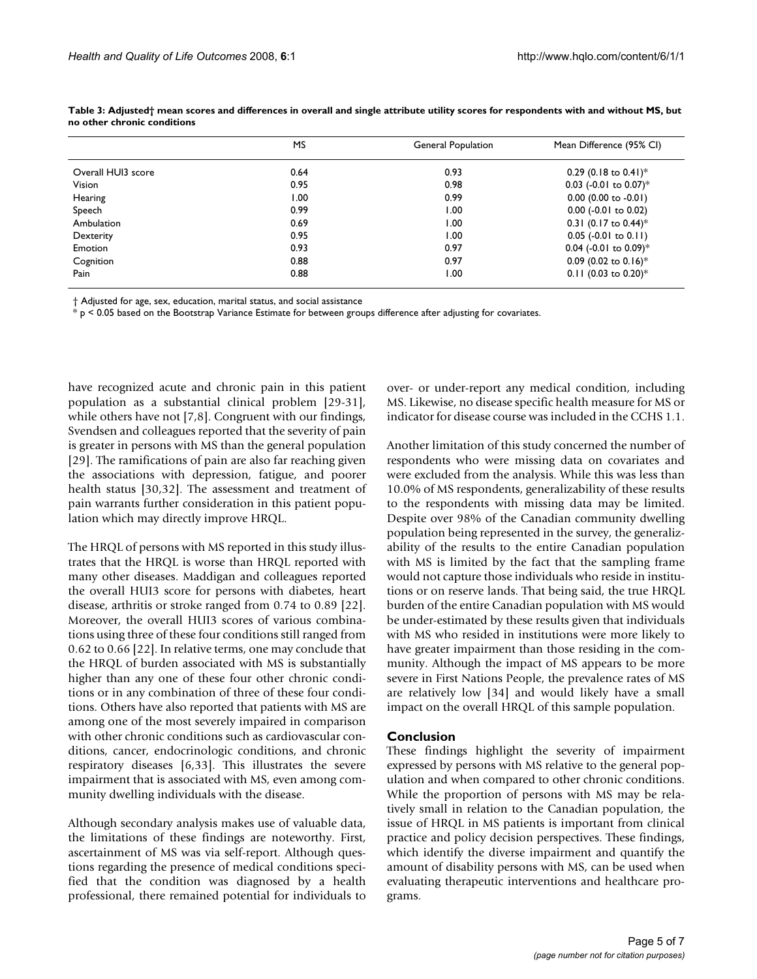|                    | <b>MS</b> | <b>General Population</b> | Mean Difference (95% CI)            |
|--------------------|-----------|---------------------------|-------------------------------------|
| Overall HUI3 score | 0.64      | 0.93                      | $0.29$ (0.18 to 0.41) <sup>*</sup>  |
| Vision             | 0.95      | 0.98                      | $0.03$ (-0.01 to 0.07) <sup>*</sup> |
| Hearing            | 1.00      | 0.99                      | $0.00$ (0.00 to $-0.01$ )           |
| Speech             | 0.99      | 1.00                      | $0.00$ (-0.01 to 0.02)              |
| Ambulation         | 0.69      | 1.00                      | 0.31 (0.17 to 0.44)*                |
| Dexterity          | 0.95      | 1.00                      | $0.05$ (-0.01 to 0.11)              |
| Emotion            | 0.93      | 0.97                      | $0.04$ (-0.01 to 0.09) <sup>*</sup> |
| Cognition          | 0.88      | 0.97                      | $0.09$ (0.02 to 0.16)*              |
| Pain               | 0.88      | 1.00                      | 0.11 (0.03 to 0.20)*                |

**Table 3: Adjusted† mean scores and differences in overall and single attribute utility scores for respondents with and without MS, but no other chronic conditions**

† Adjusted for age, sex, education, marital status, and social assistance

 $*$  p < 0.05 based on the Bootstrap Variance Estimate for between groups difference after adjusting for covariates.

have recognized acute and chronic pain in this patient population as a substantial clinical problem [29-31], while others have not [7,8]. Congruent with our findings, Svendsen and colleagues reported that the severity of pain is greater in persons with MS than the general population [29]. The ramifications of pain are also far reaching given the associations with depression, fatigue, and poorer health status [30,32]. The assessment and treatment of pain warrants further consideration in this patient population which may directly improve HRQL.

The HRQL of persons with MS reported in this study illustrates that the HRQL is worse than HRQL reported with many other diseases. Maddigan and colleagues reported the overall HUI3 score for persons with diabetes, heart disease, arthritis or stroke ranged from 0.74 to 0.89 [22]. Moreover, the overall HUI3 scores of various combinations using three of these four conditions still ranged from 0.62 to 0.66 [22]. In relative terms, one may conclude that the HRQL of burden associated with MS is substantially higher than any one of these four other chronic conditions or in any combination of three of these four conditions. Others have also reported that patients with MS are among one of the most severely impaired in comparison with other chronic conditions such as cardiovascular conditions, cancer, endocrinologic conditions, and chronic respiratory diseases [[6,](#page-5-1)33]. This illustrates the severe impairment that is associated with MS, even among community dwelling individuals with the disease.

Although secondary analysis makes use of valuable data, the limitations of these findings are noteworthy. First, ascertainment of MS was via self-report. Although questions regarding the presence of medical conditions specified that the condition was diagnosed by a health professional, there remained potential for individuals to

over- or under-report any medical condition, including MS. Likewise, no disease specific health measure for MS or indicator for disease course was included in the CCHS 1.1.

Another limitation of this study concerned the number of respondents who were missing data on covariates and were excluded from the analysis. While this was less than 10.0% of MS respondents, generalizability of these results to the respondents with missing data may be limited. Despite over 98% of the Canadian community dwelling population being represented in the survey, the generalizability of the results to the entire Canadian population with MS is limited by the fact that the sampling frame would not capture those individuals who reside in institutions or on reserve lands. That being said, the true HRQL burden of the entire Canadian population with MS would be under-estimated by these results given that individuals with MS who resided in institutions were more likely to have greater impairment than those residing in the community. Although the impact of MS appears to be more severe in First Nations People, the prevalence rates of MS are relatively low [34] and would likely have a small impact on the overall HRQL of this sample population.

## **Conclusion**

These findings highlight the severity of impairment expressed by persons with MS relative to the general population and when compared to other chronic conditions. While the proportion of persons with MS may be relatively small in relation to the Canadian population, the issue of HRQL in MS patients is important from clinical practice and policy decision perspectives. These findings, which identify the diverse impairment and quantify the amount of disability persons with MS, can be used when evaluating therapeutic interventions and healthcare programs.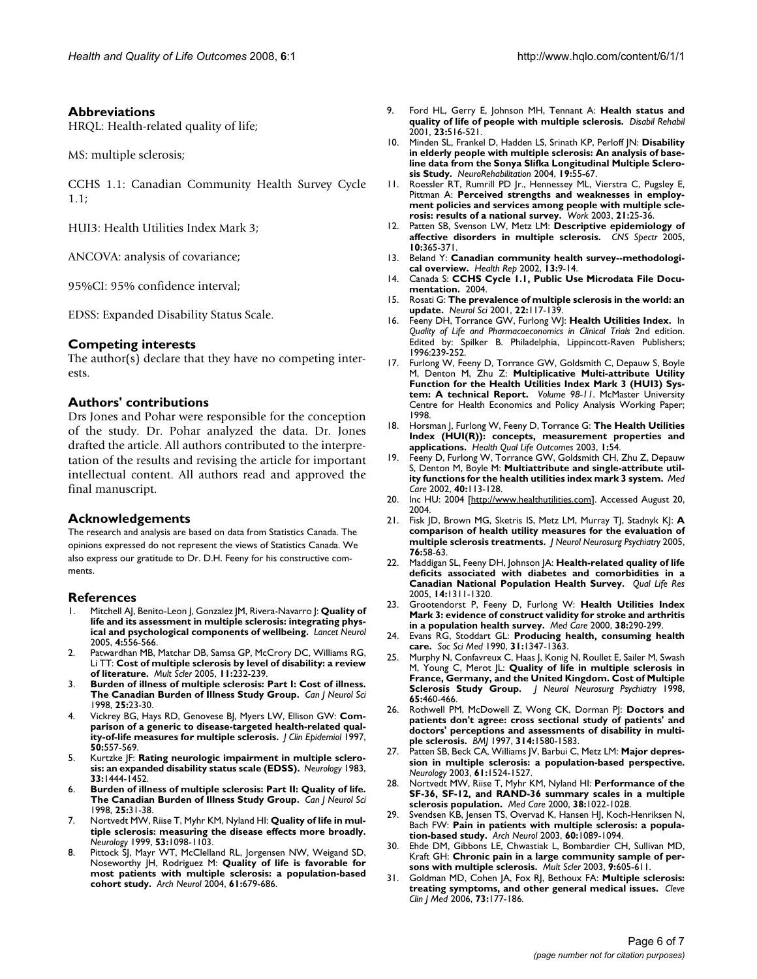#### **Abbreviations**

HRQL: Health-related quality of life;

MS: multiple sclerosis;

CCHS 1.1: Canadian Community Health Survey Cycle 1.1;

HUI3: Health Utilities Index Mark 3;

ANCOVA: analysis of covariance;

95%CI: 95% confidence interval;

EDSS: Expanded Disability Status Scale.

#### **Competing interests**

The author(s) declare that they have no competing interests.

#### **Authors' contributions**

Drs Jones and Pohar were responsible for the conception of the study. Dr. Pohar analyzed the data. Dr. Jones drafted the article. All authors contributed to the interpretation of the results and revising the article for important intellectual content. All authors read and approved the final manuscript.

#### **Acknowledgements**

The research and analysis are based on data from Statistics Canada. The opinions expressed do not represent the views of Statistics Canada. We also express our gratitude to Dr. D.H. Feeny for his constructive comments.

#### **References**

- 1. Mitchell AJ, Benito-Leon J, Gonzalez JM, Rivera-Navarro J: **[Quality of](http://www.ncbi.nlm.nih.gov/entrez/query.fcgi?cmd=Retrieve&db=PubMed&dopt=Abstract&list_uids=16109362) [life and its assessment in multiple sclerosis: integrating phys](http://www.ncbi.nlm.nih.gov/entrez/query.fcgi?cmd=Retrieve&db=PubMed&dopt=Abstract&list_uids=16109362)[ical and psychological components of wellbeing.](http://www.ncbi.nlm.nih.gov/entrez/query.fcgi?cmd=Retrieve&db=PubMed&dopt=Abstract&list_uids=16109362)** *Lancet Neurol* 2005, **4:**556-566.
- 2. Patwardhan MB, Matchar DB, Samsa GP, McCrory DC, Williams RG, Li TT: **[Cost of multiple sclerosis by level of disability: a review](http://www.ncbi.nlm.nih.gov/entrez/query.fcgi?cmd=Retrieve&db=PubMed&dopt=Abstract&list_uids=15794399) [of literature.](http://www.ncbi.nlm.nih.gov/entrez/query.fcgi?cmd=Retrieve&db=PubMed&dopt=Abstract&list_uids=15794399)** *Mult Scler* 2005, **11:**232-239.
- <span id="page-5-0"></span>3. **[Burden of illness of multiple sclerosis: Part I: Cost of illness.](http://www.ncbi.nlm.nih.gov/entrez/query.fcgi?cmd=Retrieve&db=PubMed&dopt=Abstract&list_uids=9532277) [The Canadian Burden of Illness Study Group.](http://www.ncbi.nlm.nih.gov/entrez/query.fcgi?cmd=Retrieve&db=PubMed&dopt=Abstract&list_uids=9532277)** *Can J Neurol Sci* 1998, **25:**23-30.
- 4. Vickrey BG, Hays RD, Genovese BJ, Myers LW, Ellison GW: **[Com](http://www.ncbi.nlm.nih.gov/entrez/query.fcgi?cmd=Retrieve&db=PubMed&dopt=Abstract&list_uids=9180648)[parison of a generic to disease-targeted health-related qual](http://www.ncbi.nlm.nih.gov/entrez/query.fcgi?cmd=Retrieve&db=PubMed&dopt=Abstract&list_uids=9180648)[ity-of-life measures for multiple sclerosis.](http://www.ncbi.nlm.nih.gov/entrez/query.fcgi?cmd=Retrieve&db=PubMed&dopt=Abstract&list_uids=9180648)** *J Clin Epidemiol* 1997, **50:**557-569.
- 5. Kurtzke JF: **[Rating neurologic impairment in multiple sclero](http://www.ncbi.nlm.nih.gov/entrez/query.fcgi?cmd=Retrieve&db=PubMed&dopt=Abstract&list_uids=6685237)[sis: an expanded disability status scale \(EDSS\).](http://www.ncbi.nlm.nih.gov/entrez/query.fcgi?cmd=Retrieve&db=PubMed&dopt=Abstract&list_uids=6685237)** *Neurology* 1983, **33:**1444-1452.
- <span id="page-5-1"></span>6. **[Burden of illness of multiple sclerosis: Part II: Quality of life.](http://www.ncbi.nlm.nih.gov/entrez/query.fcgi?cmd=Retrieve&db=PubMed&dopt=Abstract&list_uids=9532278) [The Canadian Burden of Illness Study Group.](http://www.ncbi.nlm.nih.gov/entrez/query.fcgi?cmd=Retrieve&db=PubMed&dopt=Abstract&list_uids=9532278)** *Can J Neurol Sci* 1998, **25:**31-38.
- 7. Nortvedt MW, Riise T, Myhr KM, Nyland HI: **[Quality of life in mul](http://www.ncbi.nlm.nih.gov/entrez/query.fcgi?cmd=Retrieve&db=PubMed&dopt=Abstract&list_uids=10496273)[tiple sclerosis: measuring the disease effects more broadly.](http://www.ncbi.nlm.nih.gov/entrez/query.fcgi?cmd=Retrieve&db=PubMed&dopt=Abstract&list_uids=10496273)** *Neurology* 1999, **53:**1098-1103.
- 8. Pittock SJ, Mayr WT, McClelland RL, Jorgensen NW, Weigand SD, Noseworthy JH, Rodriguez M: **[Quality of life is favorable for](http://www.ncbi.nlm.nih.gov/entrez/query.fcgi?cmd=Retrieve&db=PubMed&dopt=Abstract&list_uids=15148144) [most patients with multiple sclerosis: a population-based](http://www.ncbi.nlm.nih.gov/entrez/query.fcgi?cmd=Retrieve&db=PubMed&dopt=Abstract&list_uids=15148144) [cohort study.](http://www.ncbi.nlm.nih.gov/entrez/query.fcgi?cmd=Retrieve&db=PubMed&dopt=Abstract&list_uids=15148144)** *Arch Neurol* 2004, **61:**679-686.
- 9. Ford HL, Gerry E, Johnson MH, Tennant A: **[Health status and](http://www.ncbi.nlm.nih.gov/entrez/query.fcgi?cmd=Retrieve&db=PubMed&dopt=Abstract&list_uids=11432648) [quality of life of people with multiple sclerosis.](http://www.ncbi.nlm.nih.gov/entrez/query.fcgi?cmd=Retrieve&db=PubMed&dopt=Abstract&list_uids=11432648)** *Disabil Rehabil* 2001, **23:**516-521.
- 10. Minden SL, Frankel D, Hadden LS, Srinath KP, Perloff JN: **[Disability](http://www.ncbi.nlm.nih.gov/entrez/query.fcgi?cmd=Retrieve&db=PubMed&dopt=Abstract&list_uids=14988588) [in elderly people with multiple sclerosis: An analysis of base](http://www.ncbi.nlm.nih.gov/entrez/query.fcgi?cmd=Retrieve&db=PubMed&dopt=Abstract&list_uids=14988588)line data from the Sonya Slifka Longitudinal Multiple Sclero[sis Study.](http://www.ncbi.nlm.nih.gov/entrez/query.fcgi?cmd=Retrieve&db=PubMed&dopt=Abstract&list_uids=14988588)** *NeuroRehabilitation* 2004, **19:**55-67.
- 11. Roessler RT, Rumrill PD Jr., Hennessey ML, Vierstra C, Pugsley E, Pittman A: **[Perceived strengths and weaknesses in employ](http://www.ncbi.nlm.nih.gov/entrez/query.fcgi?cmd=Retrieve&db=PubMed&dopt=Abstract&list_uids=12897388)[ment policies and services among people with multiple scle](http://www.ncbi.nlm.nih.gov/entrez/query.fcgi?cmd=Retrieve&db=PubMed&dopt=Abstract&list_uids=12897388)[rosis: results of a national survey.](http://www.ncbi.nlm.nih.gov/entrez/query.fcgi?cmd=Retrieve&db=PubMed&dopt=Abstract&list_uids=12897388)** *Work* 2003, **21:**25-36.
- 12. Patten SB, Svenson LW, Metz LM: **[Descriptive epidemiology of](http://www.ncbi.nlm.nih.gov/entrez/query.fcgi?cmd=Retrieve&db=PubMed&dopt=Abstract&list_uids=15858454) [affective disorders in multiple sclerosis.](http://www.ncbi.nlm.nih.gov/entrez/query.fcgi?cmd=Retrieve&db=PubMed&dopt=Abstract&list_uids=15858454)** *CNS Spectr* 2005, **10:**365-371.
- 13. Beland Y: **[Canadian community health survey--methodologi](http://www.ncbi.nlm.nih.gov/entrez/query.fcgi?cmd=Retrieve&db=PubMed&dopt=Abstract&list_uids=12743956)[cal overview.](http://www.ncbi.nlm.nih.gov/entrez/query.fcgi?cmd=Retrieve&db=PubMed&dopt=Abstract&list_uids=12743956)** *Health Rep* 2002, **13:**9-14.
- 14. Canada S: **CCHS Cycle 1.1, Public Use Microdata File Documentation.** 2004.
- 15. Rosati G: **[The prevalence of multiple sclerosis in the world: an](http://www.ncbi.nlm.nih.gov/entrez/query.fcgi?cmd=Retrieve&db=PubMed&dopt=Abstract&list_uids=11603614) [update.](http://www.ncbi.nlm.nih.gov/entrez/query.fcgi?cmd=Retrieve&db=PubMed&dopt=Abstract&list_uids=11603614)** *Neurol Sci* 2001, **22:**117-139.
- 16. Feeny DH, Torrance GW, Furlong WJ: **Health Utilities Index.** In *Quality of Life and Pharmacoeconomics in Clinical Trials* 2nd edition. Edited by: Spilker B. Philadelphia, Lippincott-Raven Publishers; 1996:239-252.
- 17. Furlong W, Feeny D, Torrance GW, Goldsmith C, Depauw S, Boyle M, Denton M, Zhu Z: **Multiplicative Multi-attribute Utility Function for the Health Utilities Index Mark 3 (HUI3) System: A technical Report.** *Volume 98-11*. McMaster University Centre for Health Economics and Policy Analysis Working Paper; 1998.
- 18. Horsman J, Furlong W, Feeny D, Torrance G: **[The Health Utilities](http://www.ncbi.nlm.nih.gov/entrez/query.fcgi?cmd=Retrieve&db=PubMed&dopt=Abstract&list_uids=14613568) [Index \(HUI\(R\)\): concepts, measurement properties and](http://www.ncbi.nlm.nih.gov/entrez/query.fcgi?cmd=Retrieve&db=PubMed&dopt=Abstract&list_uids=14613568) [applications.](http://www.ncbi.nlm.nih.gov/entrez/query.fcgi?cmd=Retrieve&db=PubMed&dopt=Abstract&list_uids=14613568)** *Health Qual Life Outcomes* 2003, **1:**54.
- 19. Feeny D, Furlong W, Torrance GW, Goldsmith CH, Zhu Z, Depauw S, Denton M, Boyle M: **[Multiattribute and single-attribute util](http://www.ncbi.nlm.nih.gov/entrez/query.fcgi?cmd=Retrieve&db=PubMed&dopt=Abstract&list_uids=11802084)[ity functions for the health utilities index mark 3 system.](http://www.ncbi.nlm.nih.gov/entrez/query.fcgi?cmd=Retrieve&db=PubMed&dopt=Abstract&list_uids=11802084)** *Med Care* 2002, **40:**113-128.
- 20. Inc HU: 2004 [\[http://www.healthutilities.com](http://www.healthutilities.com)]. Accessed August 20, 2004.
- 21. Fisk JD, Brown MG, Sketris IS, Metz LM, Murray TJ, Stadnyk KJ: **[A](http://www.ncbi.nlm.nih.gov/entrez/query.fcgi?cmd=Retrieve&db=PubMed&dopt=Abstract&list_uids=15607996) [comparison of health utility measures for the evaluation of](http://www.ncbi.nlm.nih.gov/entrez/query.fcgi?cmd=Retrieve&db=PubMed&dopt=Abstract&list_uids=15607996) [multiple sclerosis treatments.](http://www.ncbi.nlm.nih.gov/entrez/query.fcgi?cmd=Retrieve&db=PubMed&dopt=Abstract&list_uids=15607996)** *J Neurol Neurosurg Psychiatry* 2005, **76:**58-63.
- 22. Maddigan SL, Feeny DH, Johnson JA: **[Health-related quality of life](http://www.ncbi.nlm.nih.gov/entrez/query.fcgi?cmd=Retrieve&db=PubMed&dopt=Abstract&list_uids=16047506) [deficits associated with diabetes and comorbidities in a](http://www.ncbi.nlm.nih.gov/entrez/query.fcgi?cmd=Retrieve&db=PubMed&dopt=Abstract&list_uids=16047506) [Canadian National Population Health Survey.](http://www.ncbi.nlm.nih.gov/entrez/query.fcgi?cmd=Retrieve&db=PubMed&dopt=Abstract&list_uids=16047506)** *Qual Life Res* 2005, **14:**1311-1320.
- 23. Grootendorst P, Feeny D, Furlong W: **[Health Utilities Index](http://www.ncbi.nlm.nih.gov/entrez/query.fcgi?cmd=Retrieve&db=PubMed&dopt=Abstract&list_uids=10718354) [Mark 3: evidence of construct validity for stroke and arthritis](http://www.ncbi.nlm.nih.gov/entrez/query.fcgi?cmd=Retrieve&db=PubMed&dopt=Abstract&list_uids=10718354) [in a population health survey.](http://www.ncbi.nlm.nih.gov/entrez/query.fcgi?cmd=Retrieve&db=PubMed&dopt=Abstract&list_uids=10718354)** *Med Care* 2000, **38:**290-299.
- 24. Evans RG, Stoddart GL: **[Producing health, consuming health](http://www.ncbi.nlm.nih.gov/entrez/query.fcgi?cmd=Retrieve&db=PubMed&dopt=Abstract&list_uids=2126895) [care.](http://www.ncbi.nlm.nih.gov/entrez/query.fcgi?cmd=Retrieve&db=PubMed&dopt=Abstract&list_uids=2126895)** *Soc Sci Med* 1990, **31:**1347-1363.
- 25. Murphy N, Confavreux C, Haas J, Konig N, Roullet E, Sailer M, Swash M, Young C, Merot JL: **[Quality of life in multiple sclerosis in](http://www.ncbi.nlm.nih.gov/entrez/query.fcgi?cmd=Retrieve&db=PubMed&dopt=Abstract&list_uids=9771766) [France, Germany, and the United Kingdom. Cost of Multiple](http://www.ncbi.nlm.nih.gov/entrez/query.fcgi?cmd=Retrieve&db=PubMed&dopt=Abstract&list_uids=9771766) [Sclerosis Study Group.](http://www.ncbi.nlm.nih.gov/entrez/query.fcgi?cmd=Retrieve&db=PubMed&dopt=Abstract&list_uids=9771766)** *J Neurol Neurosurg Psychiatry* 1998, **65:**460-466.
- 26. Rothwell PM, McDowell Z, Wong CK, Dorman PJ: **[Doctors and](http://www.ncbi.nlm.nih.gov/entrez/query.fcgi?cmd=Retrieve&db=PubMed&dopt=Abstract&list_uids=9169401) [patients don't agree: cross sectional study of patients' and](http://www.ncbi.nlm.nih.gov/entrez/query.fcgi?cmd=Retrieve&db=PubMed&dopt=Abstract&list_uids=9169401) doctors' perceptions and assessments of disability in multi[ple sclerosis.](http://www.ncbi.nlm.nih.gov/entrez/query.fcgi?cmd=Retrieve&db=PubMed&dopt=Abstract&list_uids=9169401)** *BMJ* 1997, **314:**1580-1583.
- 27. Patten SB, Beck CA, Williams JV, Barbui C, Metz LM: **[Major depres](http://www.ncbi.nlm.nih.gov/entrez/query.fcgi?cmd=Retrieve&db=PubMed&dopt=Abstract&list_uids=14663036)[sion in multiple sclerosis: a population-based perspective.](http://www.ncbi.nlm.nih.gov/entrez/query.fcgi?cmd=Retrieve&db=PubMed&dopt=Abstract&list_uids=14663036)** *Neurology* 2003, **61:**1524-1527.
- 28. Nortvedt MW, Riise T, Myhr KM, Nyland HI: **[Performance of the](http://www.ncbi.nlm.nih.gov/entrez/query.fcgi?cmd=Retrieve&db=PubMed&dopt=Abstract&list_uids=11021675) [SF-36, SF-12, and RAND-36 summary scales in a multiple](http://www.ncbi.nlm.nih.gov/entrez/query.fcgi?cmd=Retrieve&db=PubMed&dopt=Abstract&list_uids=11021675) [sclerosis population.](http://www.ncbi.nlm.nih.gov/entrez/query.fcgi?cmd=Retrieve&db=PubMed&dopt=Abstract&list_uids=11021675)** *Med Care* 2000, **38:**1022-1028.
- 29. Svendsen KB, Jensen TS, Overvad K, Hansen HJ, Koch-Henriksen N, Bach FW: **[Pain in patients with multiple sclerosis: a popula](http://www.ncbi.nlm.nih.gov/entrez/query.fcgi?cmd=Retrieve&db=PubMed&dopt=Abstract&list_uids=12925364)[tion-based study.](http://www.ncbi.nlm.nih.gov/entrez/query.fcgi?cmd=Retrieve&db=PubMed&dopt=Abstract&list_uids=12925364)** *Arch Neurol* 2003, **60:**1089-1094.
- 30. Ehde DM, Gibbons LE, Chwastiak L, Bombardier CH, Sullivan MD, Kraft GH: **[Chronic pain in a large community sample of per](http://www.ncbi.nlm.nih.gov/entrez/query.fcgi?cmd=Retrieve&db=PubMed&dopt=Abstract&list_uids=14664474)[sons with multiple sclerosis.](http://www.ncbi.nlm.nih.gov/entrez/query.fcgi?cmd=Retrieve&db=PubMed&dopt=Abstract&list_uids=14664474)** *Mult Scler* 2003, **9:**605-611.
- 31. Goldman MD, Cohen JA, Fox RJ, Bethoux FA: **[Multiple sclerosis:](http://www.ncbi.nlm.nih.gov/entrez/query.fcgi?cmd=Retrieve&db=PubMed&dopt=Abstract&list_uids=16478042) [treating symptoms, and other general medical issues.](http://www.ncbi.nlm.nih.gov/entrez/query.fcgi?cmd=Retrieve&db=PubMed&dopt=Abstract&list_uids=16478042)** *Cleve Clin J Med* 2006, **73:**177-186.